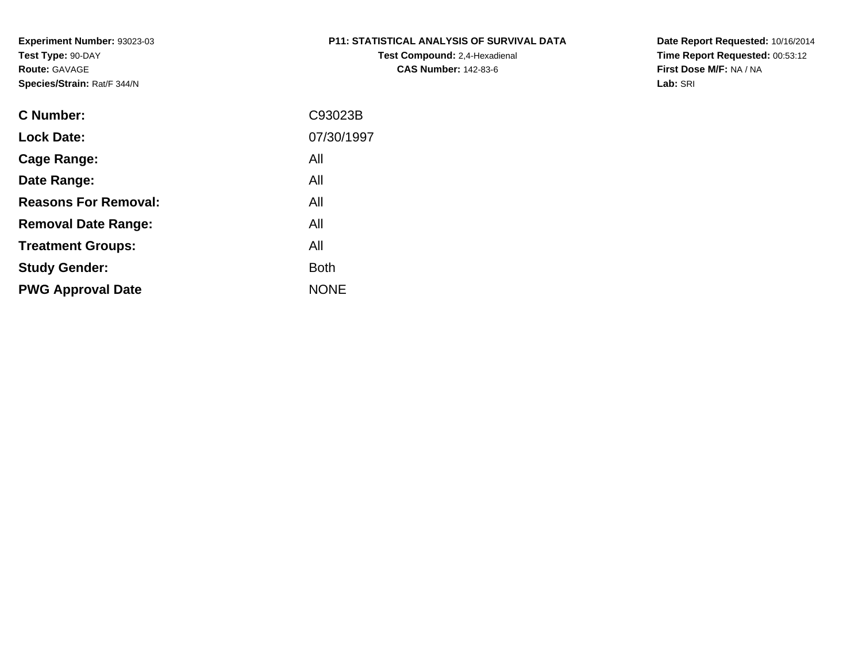# **P11: STATISTICAL ANALYSIS OF SURVIVAL DATA**

**Test Compound:** 2,4-Hexadienal **CAS Number:** 142-83-6

**Date Report Requested:** 10/16/2014 **Time Report Requested:** 00:53:12**First Dose M/F:** NA / NA**Lab:** SRI

| C Number:                   | C93023B     |
|-----------------------------|-------------|
| <b>Lock Date:</b>           | 07/30/1997  |
| Cage Range:                 | All         |
| Date Range:                 | All         |
| <b>Reasons For Removal:</b> | All         |
| <b>Removal Date Range:</b>  | All         |
| <b>Treatment Groups:</b>    | All         |
| <b>Study Gender:</b>        | <b>Both</b> |
| <b>PWG Approval Date</b>    | <b>NONE</b> |
|                             |             |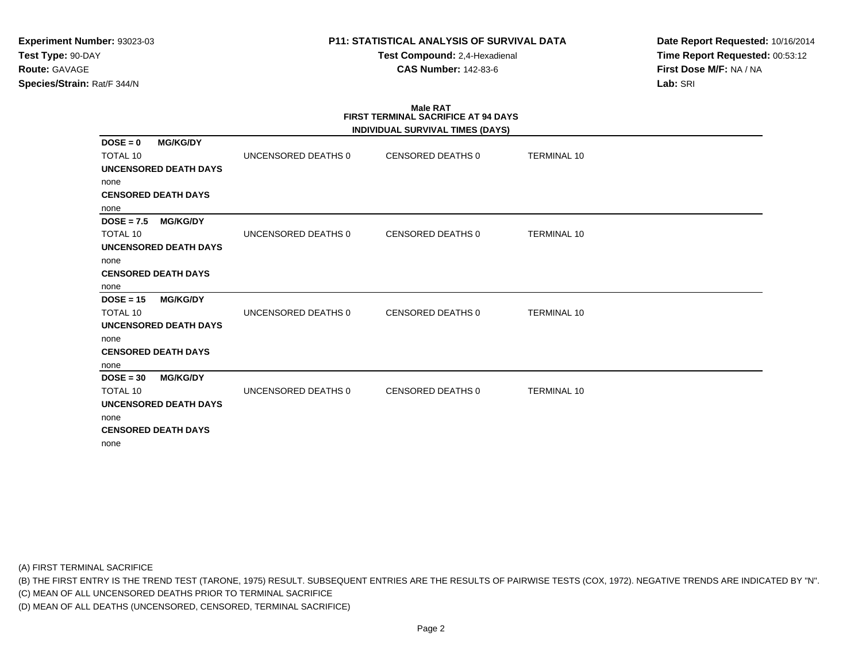**Test Compound:** 2,4-Hexadienal **CAS Number:** 142-83-6

**Date Report Requested:** 10/16/2014**Time Report Requested:** 00:53:12**First Dose M/F:** NA / NA**Lab:** SRI

#### **Male RAT FIRST TERMINAL SACRIFICE AT 94 DAYSINDIVIDUAL SURVIVAL TIMES (DAYS)**

|                                 |                     | INDIVIDUAL SURVIVAL TIMES (DATS) |                    |  |
|---------------------------------|---------------------|----------------------------------|--------------------|--|
| $DOSE = 0$<br><b>MG/KG/DY</b>   |                     |                                  |                    |  |
| <b>TOTAL 10</b>                 | UNCENSORED DEATHS 0 | CENSORED DEATHS 0                | <b>TERMINAL 10</b> |  |
| <b>UNCENSORED DEATH DAYS</b>    |                     |                                  |                    |  |
| none                            |                     |                                  |                    |  |
| <b>CENSORED DEATH DAYS</b>      |                     |                                  |                    |  |
| none                            |                     |                                  |                    |  |
| <b>MG/KG/DY</b><br>$DOSE = 7.5$ |                     |                                  |                    |  |
| <b>TOTAL 10</b>                 | UNCENSORED DEATHS 0 | CENSORED DEATHS 0                | <b>TERMINAL 10</b> |  |
| UNCENSORED DEATH DAYS           |                     |                                  |                    |  |
| none                            |                     |                                  |                    |  |
| <b>CENSORED DEATH DAYS</b>      |                     |                                  |                    |  |
| none                            |                     |                                  |                    |  |
| $DOSE = 15$<br><b>MG/KG/DY</b>  |                     |                                  |                    |  |
| <b>TOTAL 10</b>                 | UNCENSORED DEATHS 0 | <b>CENSORED DEATHS 0</b>         | <b>TERMINAL 10</b> |  |
| <b>UNCENSORED DEATH DAYS</b>    |                     |                                  |                    |  |
| none                            |                     |                                  |                    |  |
| <b>CENSORED DEATH DAYS</b>      |                     |                                  |                    |  |
| none                            |                     |                                  |                    |  |
| $DOSE = 30$<br><b>MG/KG/DY</b>  |                     |                                  |                    |  |
| <b>TOTAL 10</b>                 | UNCENSORED DEATHS 0 | <b>CENSORED DEATHS 0</b>         | <b>TERMINAL 10</b> |  |
| <b>UNCENSORED DEATH DAYS</b>    |                     |                                  |                    |  |
| none                            |                     |                                  |                    |  |
| <b>CENSORED DEATH DAYS</b>      |                     |                                  |                    |  |
| none                            |                     |                                  |                    |  |
|                                 |                     |                                  |                    |  |

(A) FIRST TERMINAL SACRIFICE

(B) THE FIRST ENTRY IS THE TREND TEST (TARONE, 1975) RESULT. SUBSEQUENT ENTRIES ARE THE RESULTS OF PAIRWISE TESTS (COX, 1972). NEGATIVE TRENDS ARE INDICATED BY "N".

(C) MEAN OF ALL UNCENSORED DEATHS PRIOR TO TERMINAL SACRIFICE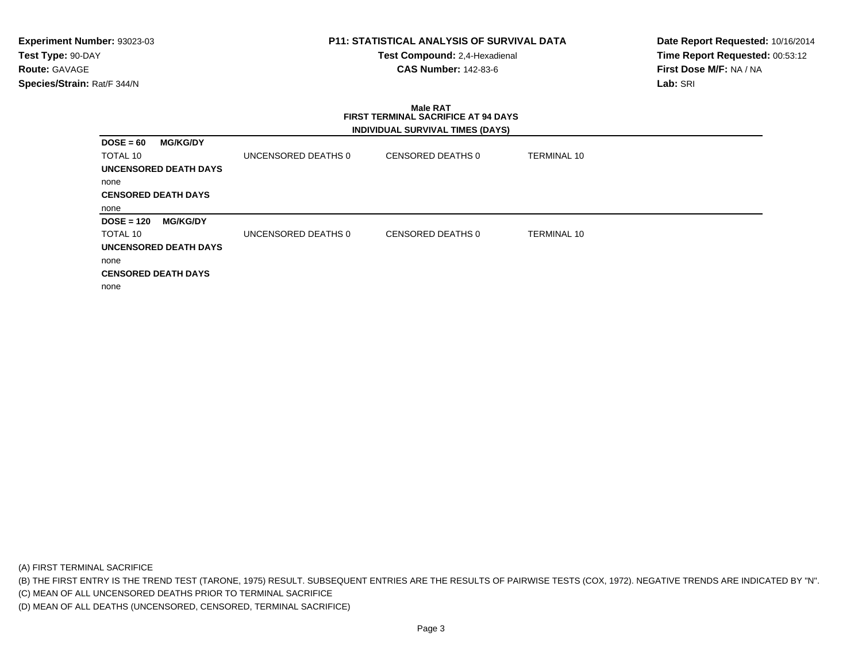**Test Compound:** 2,4-Hexadienal **CAS Number:** 142-83-6

**Date Report Requested:** 10/16/2014**Time Report Requested:** 00:53:12**First Dose M/F:** NA / NA**Lab:** SRI

# **Male RAT FIRST TERMINAL SACRIFICE AT 94 DAYSINDIVIDUAL SURVIVAL TIMES (DAYS)**

| $DOSE = 60$                        | <b>MG/KG/DY</b>       |                     |                   |                    |
|------------------------------------|-----------------------|---------------------|-------------------|--------------------|
| TOTAL 10                           |                       | UNCENSORED DEATHS 0 | CENSORED DEATHS 0 | <b>TERMINAL 10</b> |
|                                    | UNCENSORED DEATH DAYS |                     |                   |                    |
| none                               |                       |                     |                   |                    |
| <b>CENSORED DEATH DAYS</b>         |                       |                     |                   |                    |
| none                               |                       |                     |                   |                    |
| $DOSE = 120$                       | <b>MG/KG/DY</b>       |                     |                   |                    |
| TOTAL 10                           |                       | UNCENSORED DEATHS 0 | CENSORED DEATHS 0 | <b>TERMINAL 10</b> |
| UNCENSORED DEATH DAYS              |                       |                     |                   |                    |
|                                    |                       |                     |                   |                    |
|                                    |                       |                     |                   |                    |
| none<br><b>CENSORED DEATH DAYS</b> |                       |                     |                   |                    |

(A) FIRST TERMINAL SACRIFICE

(B) THE FIRST ENTRY IS THE TREND TEST (TARONE, 1975) RESULT. SUBSEQUENT ENTRIES ARE THE RESULTS OF PAIRWISE TESTS (COX, 1972). NEGATIVE TRENDS ARE INDICATED BY "N".

(C) MEAN OF ALL UNCENSORED DEATHS PRIOR TO TERMINAL SACRIFICE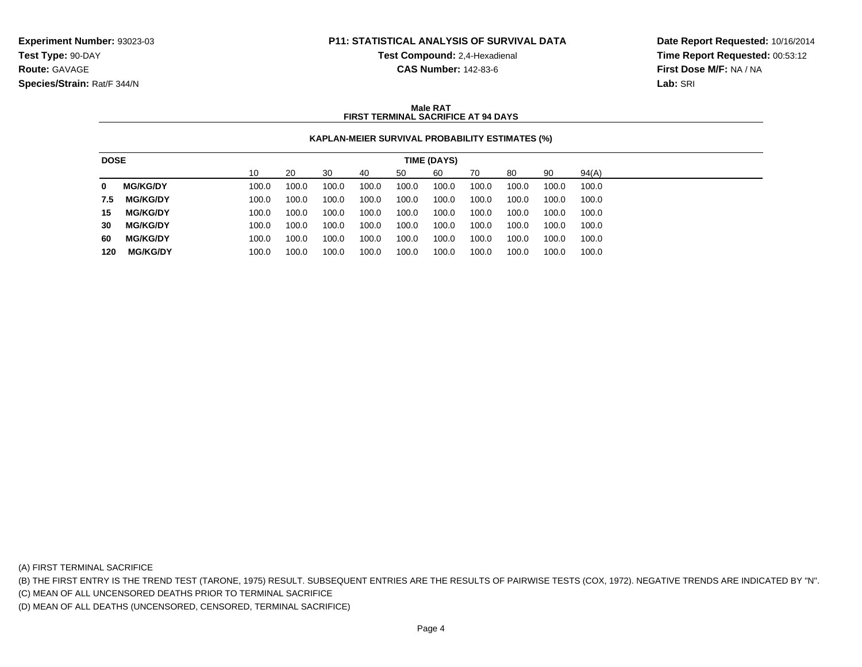**Test Compound:** 2,4-Hexadienal **CAS Number:** 142-83-6

**Date Report Requested:** 10/16/2014**Time Report Requested:** 00:53:12**First Dose M/F:** NA / NA**Lab:** SRI

### **Male RATFIRST TERMINAL SACRIFICE AT 94 DAYS**

### **KAPLAN-MEIER SURVIVAL PROBABILITY ESTIMATES (%)**

| <b>DOSE</b> |                 |       |       |       |       |       | TIME (DAYS) |       |       |       |       |
|-------------|-----------------|-------|-------|-------|-------|-------|-------------|-------|-------|-------|-------|
|             |                 | 10    | 20    | -30   | 40    | 50    | 60          | 70    | 80    | 90    | 94(A) |
| 0           | <b>MG/KG/DY</b> | 100.0 | 100.0 | 100.0 | 100.0 | 100.0 | 100.0       | 100.0 | 100.0 | 100.0 | 100.0 |
| 7.5         | <b>MG/KG/DY</b> | 100.0 | 100.0 | 100.0 | 100.0 | 100.0 | 100.0       | 100.0 | 100.0 | 100.0 | 100.0 |
| 15          | <b>MG/KG/DY</b> | 100.0 | 100.0 | 100.0 | 100.0 | 100.0 | 100.0       | 100.0 | 100.0 | 100.0 | 100.0 |
| 30          | <b>MG/KG/DY</b> | 100.0 | 100.0 | 100.0 | 100.0 | 100.0 | 100.0       | 100.0 | 100.0 | 100.0 | 100.0 |
| 60          | <b>MG/KG/DY</b> | 100.0 | 100.0 | 100.0 | 100.0 | 100.0 | 100.0       | 100.0 | 100.0 | 100.0 | 100.0 |
| 120         | <b>MG/KG/DY</b> | 100.0 | 100.0 | 100.0 | 100.0 | 100.0 | 100.0       | 100.0 | 100.0 | 100.0 | 100.0 |

(A) FIRST TERMINAL SACRIFICE

(B) THE FIRST ENTRY IS THE TREND TEST (TARONE, 1975) RESULT. SUBSEQUENT ENTRIES ARE THE RESULTS OF PAIRWISE TESTS (COX, 1972). NEGATIVE TRENDS ARE INDICATED BY "N".

(C) MEAN OF ALL UNCENSORED DEATHS PRIOR TO TERMINAL SACRIFICE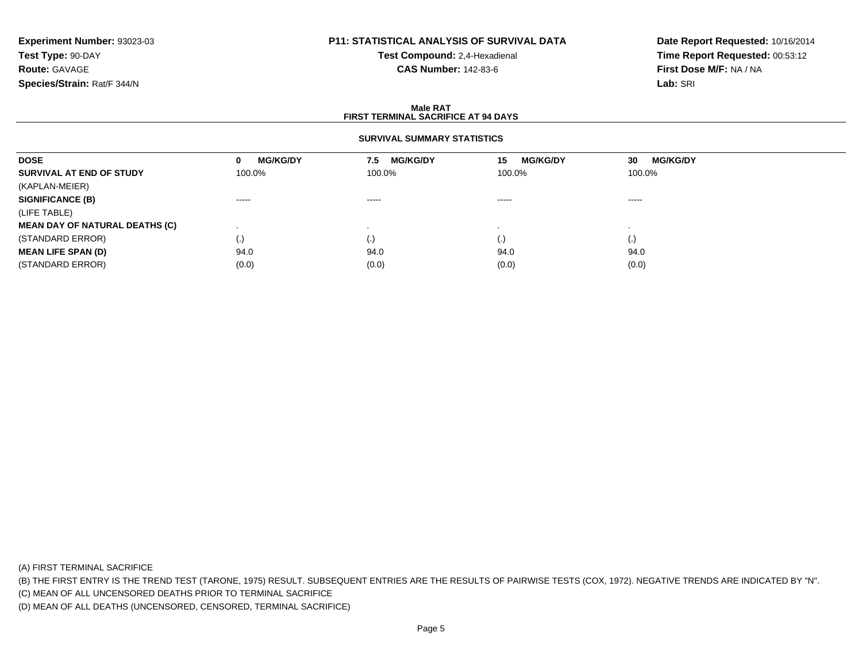# **P11: STATISTICAL ANALYSIS OF SURVIVAL DATA**

**Test Compound:** 2,4-Hexadienal **CAS Number:** 142-83-6

**Date Report Requested:** 10/16/2014**Time Report Requested:** 00:53:12**First Dose M/F:** NA / NA**Lab:** SRI

#### **Male RATFIRST TERMINAL SACRIFICE AT 94 DAYS**

### **SURVIVAL SUMMARY STATISTICS**

| <b>DOSE</b>                           | <b>MG/KG/DY</b><br>0                                                                                                                                                                                                                                                                                                                                                                                                                                                                   | <b>MG/KG/DY</b><br>7.5 | <b>MG/KG/DY</b><br>15 | <b>MG/KG/DY</b><br>30                                                                                                                                                                                                                                                                                                                                                                                                                                                                  |
|---------------------------------------|----------------------------------------------------------------------------------------------------------------------------------------------------------------------------------------------------------------------------------------------------------------------------------------------------------------------------------------------------------------------------------------------------------------------------------------------------------------------------------------|------------------------|-----------------------|----------------------------------------------------------------------------------------------------------------------------------------------------------------------------------------------------------------------------------------------------------------------------------------------------------------------------------------------------------------------------------------------------------------------------------------------------------------------------------------|
| SURVIVAL AT END OF STUDY              | 100.0%                                                                                                                                                                                                                                                                                                                                                                                                                                                                                 | 100.0%                 | 100.0%                | 100.0%                                                                                                                                                                                                                                                                                                                                                                                                                                                                                 |
| (KAPLAN-MEIER)                        |                                                                                                                                                                                                                                                                                                                                                                                                                                                                                        |                        |                       |                                                                                                                                                                                                                                                                                                                                                                                                                                                                                        |
| <b>SIGNIFICANCE (B)</b>               | $\begin{array}{cccccccccccccc} \multicolumn{2}{c}{} & \multicolumn{2}{c}{} & \multicolumn{2}{c}{} & \multicolumn{2}{c}{} & \multicolumn{2}{c}{} & \multicolumn{2}{c}{} & \multicolumn{2}{c}{} & \multicolumn{2}{c}{} & \multicolumn{2}{c}{} & \multicolumn{2}{c}{} & \multicolumn{2}{c}{} & \multicolumn{2}{c}{} & \multicolumn{2}{c}{} & \multicolumn{2}{c}{} & \multicolumn{2}{c}{} & \multicolumn{2}{c}{} & \multicolumn{2}{c}{} & \multicolumn{2}{c}{} & \multicolumn{2}{c}{} & \$ | $\cdots$               | $\cdots$              | $\begin{array}{cccccccccccccc} \multicolumn{2}{c}{} & \multicolumn{2}{c}{} & \multicolumn{2}{c}{} & \multicolumn{2}{c}{} & \multicolumn{2}{c}{} & \multicolumn{2}{c}{} & \multicolumn{2}{c}{} & \multicolumn{2}{c}{} & \multicolumn{2}{c}{} & \multicolumn{2}{c}{} & \multicolumn{2}{c}{} & \multicolumn{2}{c}{} & \multicolumn{2}{c}{} & \multicolumn{2}{c}{} & \multicolumn{2}{c}{} & \multicolumn{2}{c}{} & \multicolumn{2}{c}{} & \multicolumn{2}{c}{} & \multicolumn{2}{c}{} & \$ |
| (LIFE TABLE)                          |                                                                                                                                                                                                                                                                                                                                                                                                                                                                                        |                        |                       |                                                                                                                                                                                                                                                                                                                                                                                                                                                                                        |
| <b>MEAN DAY OF NATURAL DEATHS (C)</b> |                                                                                                                                                                                                                                                                                                                                                                                                                                                                                        |                        |                       |                                                                                                                                                                                                                                                                                                                                                                                                                                                                                        |
| (STANDARD ERROR)                      | $\left( .\right)$                                                                                                                                                                                                                                                                                                                                                                                                                                                                      | $\left( . \right)$     | $\cdot$               | $\left( . \right)$                                                                                                                                                                                                                                                                                                                                                                                                                                                                     |
| <b>MEAN LIFE SPAN (D)</b>             | 94.0                                                                                                                                                                                                                                                                                                                                                                                                                                                                                   | 94.0                   | 94.0                  | 94.0                                                                                                                                                                                                                                                                                                                                                                                                                                                                                   |
| (STANDARD ERROR)                      | (0.0)                                                                                                                                                                                                                                                                                                                                                                                                                                                                                  | (0.0)                  | (0.0)                 | (0.0)                                                                                                                                                                                                                                                                                                                                                                                                                                                                                  |

(A) FIRST TERMINAL SACRIFICE

(B) THE FIRST ENTRY IS THE TREND TEST (TARONE, 1975) RESULT. SUBSEQUENT ENTRIES ARE THE RESULTS OF PAIRWISE TESTS (COX, 1972). NEGATIVE TRENDS ARE INDICATED BY "N".

(C) MEAN OF ALL UNCENSORED DEATHS PRIOR TO TERMINAL SACRIFICE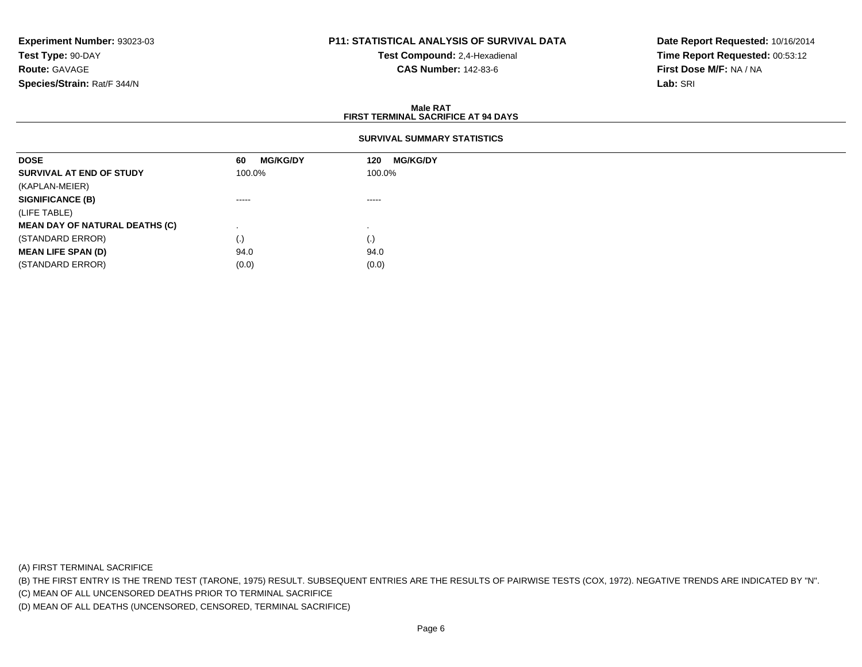## **P11: STATISTICAL ANALYSIS OF SURVIVAL DATA**

**Test Compound:** 2,4-Hexadienal **CAS Number:** 142-83-6

**Date Report Requested:** 10/16/2014**Time Report Requested:** 00:53:12**First Dose M/F:** NA / NA**Lab:** SRI

#### **Male RATFIRST TERMINAL SACRIFICE AT 94 DAYS**

### **SURVIVAL SUMMARY STATISTICS**

| <b>MG/KG/DY</b><br>60 | <b>MG/KG/DY</b><br>120 |
|-----------------------|------------------------|
| 100.0%                | 100.0%                 |
|                       |                        |
| $\cdots$              | $\cdots$               |
|                       |                        |
|                       |                        |
| (.)                   | (.)                    |
| 94.0                  | 94.0                   |
| (0.0)                 | (0.0)                  |
|                       |                        |

(A) FIRST TERMINAL SACRIFICE

(B) THE FIRST ENTRY IS THE TREND TEST (TARONE, 1975) RESULT. SUBSEQUENT ENTRIES ARE THE RESULTS OF PAIRWISE TESTS (COX, 1972). NEGATIVE TRENDS ARE INDICATED BY "N".

(C) MEAN OF ALL UNCENSORED DEATHS PRIOR TO TERMINAL SACRIFICE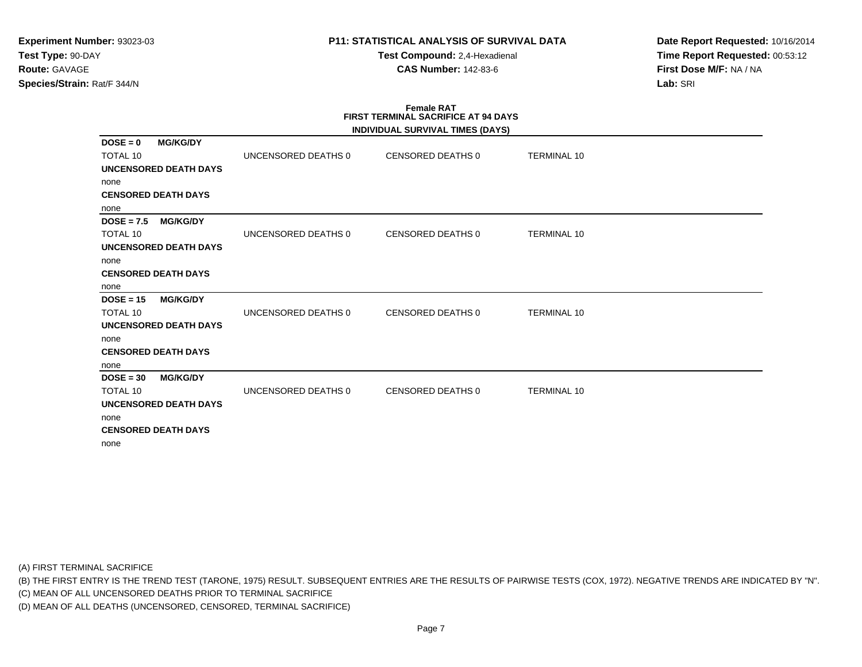**Test Compound:** 2,4-Hexadienal **CAS Number:** 142-83-6

**Date Report Requested:** 10/16/2014**Time Report Requested:** 00:53:12**First Dose M/F:** NA / NA**Lab:** SRI

### **Female RAT FIRST TERMINAL SACRIFICE AT 94 DAYSINDIVIDUAL SURVIVAL TIMES (DAYS)**

|                               |                              |                     | INDIVIDUAL SURVIVAL TIMES (DATS) |                    |  |
|-------------------------------|------------------------------|---------------------|----------------------------------|--------------------|--|
| $DOSE = 0$<br><b>TOTAL 10</b> | <b>MG/KG/DY</b>              | UNCENSORED DEATHS 0 | CENSORED DEATHS 0                | <b>TERMINAL 10</b> |  |
|                               | UNCENSORED DEATH DAYS        |                     |                                  |                    |  |
| none                          |                              |                     |                                  |                    |  |
|                               | <b>CENSORED DEATH DAYS</b>   |                     |                                  |                    |  |
| none                          |                              |                     |                                  |                    |  |
| $DOSE = 7.5$ MG/KG/DY         |                              |                     |                                  |                    |  |
| <b>TOTAL 10</b>               |                              | UNCENSORED DEATHS 0 | CENSORED DEATHS 0                | <b>TERMINAL 10</b> |  |
|                               | UNCENSORED DEATH DAYS        |                     |                                  |                    |  |
| none                          |                              |                     |                                  |                    |  |
|                               | <b>CENSORED DEATH DAYS</b>   |                     |                                  |                    |  |
| none                          |                              |                     |                                  |                    |  |
| $DOSE = 15$                   | <b>MG/KG/DY</b>              |                     |                                  |                    |  |
| <b>TOTAL 10</b>               |                              | UNCENSORED DEATHS 0 | CENSORED DEATHS 0                | <b>TERMINAL 10</b> |  |
|                               | UNCENSORED DEATH DAYS        |                     |                                  |                    |  |
| none                          |                              |                     |                                  |                    |  |
|                               | <b>CENSORED DEATH DAYS</b>   |                     |                                  |                    |  |
| none                          |                              |                     |                                  |                    |  |
| $DOSE = 30$                   | <b>MG/KG/DY</b>              |                     |                                  |                    |  |
| <b>TOTAL 10</b>               |                              | UNCENSORED DEATHS 0 | CENSORED DEATHS 0                | <b>TERMINAL 10</b> |  |
|                               | <b>UNCENSORED DEATH DAYS</b> |                     |                                  |                    |  |
| none                          |                              |                     |                                  |                    |  |
|                               | <b>CENSORED DEATH DAYS</b>   |                     |                                  |                    |  |
| none                          |                              |                     |                                  |                    |  |
|                               |                              |                     |                                  |                    |  |

(A) FIRST TERMINAL SACRIFICE

(B) THE FIRST ENTRY IS THE TREND TEST (TARONE, 1975) RESULT. SUBSEQUENT ENTRIES ARE THE RESULTS OF PAIRWISE TESTS (COX, 1972). NEGATIVE TRENDS ARE INDICATED BY "N".

(C) MEAN OF ALL UNCENSORED DEATHS PRIOR TO TERMINAL SACRIFICE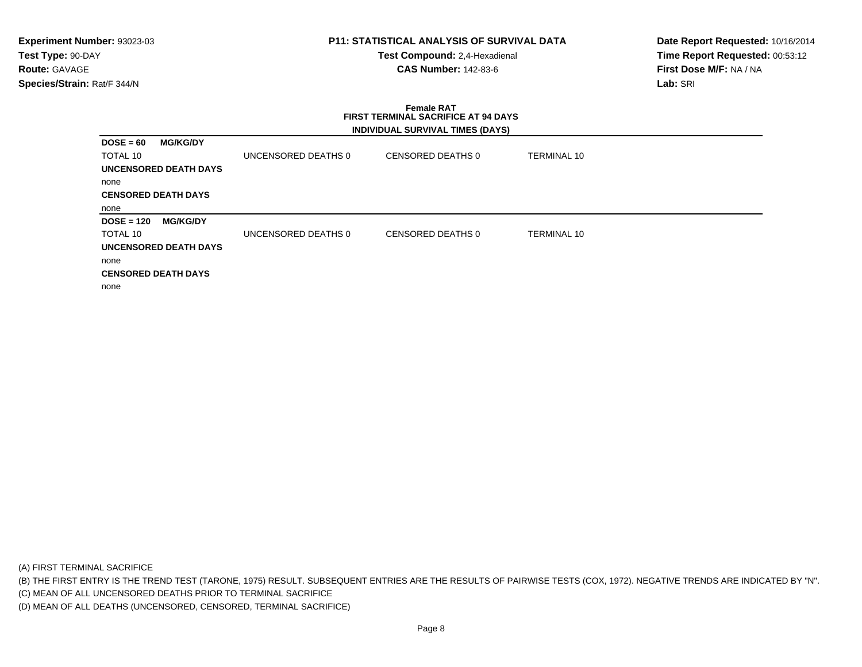**Test Compound:** 2,4-Hexadienal **CAS Number:** 142-83-6

**Date Report Requested:** 10/16/2014**Time Report Requested:** 00:53:12**First Dose M/F:** NA / NA**Lab:** SRI

# **Female RAT FIRST TERMINAL SACRIFICE AT 94 DAYSINDIVIDUAL SURVIVAL TIMES (DAYS)**

| $DOSE = 60$  | <b>MG/KG/DY</b>              |                     |                   |             |
|--------------|------------------------------|---------------------|-------------------|-------------|
| TOTAL 10     |                              | UNCENSORED DEATHS 0 | CENSORED DEATHS 0 | TERMINAL 10 |
|              | UNCENSORED DEATH DAYS        |                     |                   |             |
| none         |                              |                     |                   |             |
|              | <b>CENSORED DEATH DAYS</b>   |                     |                   |             |
| none         |                              |                     |                   |             |
| $DOSE = 120$ | <b>MG/KG/DY</b>              |                     |                   |             |
| TOTAL 10     |                              | UNCENSORED DEATHS 0 | CENSORED DEATHS 0 | TERMINAL 10 |
|              | <b>UNCENSORED DEATH DAYS</b> |                     |                   |             |
| none         |                              |                     |                   |             |
|              | <b>CENSORED DEATH DAYS</b>   |                     |                   |             |
| none         |                              |                     |                   |             |

(A) FIRST TERMINAL SACRIFICE

(B) THE FIRST ENTRY IS THE TREND TEST (TARONE, 1975) RESULT. SUBSEQUENT ENTRIES ARE THE RESULTS OF PAIRWISE TESTS (COX, 1972). NEGATIVE TRENDS ARE INDICATED BY "N".

(C) MEAN OF ALL UNCENSORED DEATHS PRIOR TO TERMINAL SACRIFICE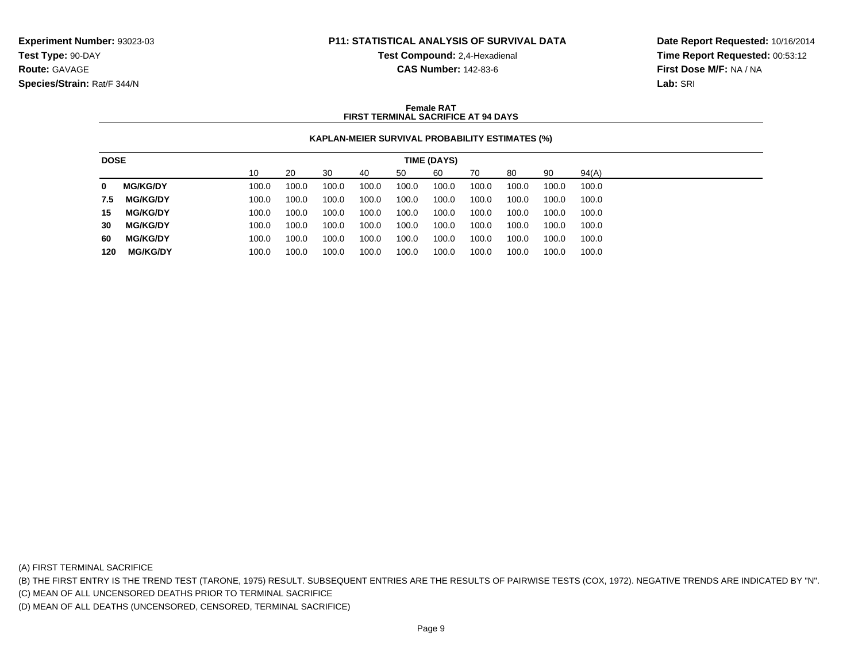**Test Compound:** 2,4-Hexadienal

**CAS Number:** 142-83-6

**Date Report Requested:** 10/16/2014**Time Report Requested:** 00:53:12**First Dose M/F:** NA / NA**Lab:** SRI

### **Female RATFIRST TERMINAL SACRIFICE AT 94 DAYS**

### **KAPLAN-MEIER SURVIVAL PROBABILITY ESTIMATES (%)**

| <b>DOSE</b> |                 |       |       |       |       |       | TIME (DAYS) |       |       |       |       |
|-------------|-----------------|-------|-------|-------|-------|-------|-------------|-------|-------|-------|-------|
|             |                 | 10    | 20    | 30    | 40    | 50    | 60          | 70    | 80    | 90    | 94(A) |
| 0           | <b>MG/KG/DY</b> | 100.0 | 100.0 | 100.0 | 100.0 | 100.0 | 100.0       | 100.0 | 100.0 | 100.0 | 100.0 |
| 7.5         | <b>MG/KG/DY</b> | 100.0 | 100.0 | 100.0 | 100.0 | 100.0 | 100.0       | 100.0 | 100.0 | 100.0 | 100.0 |
| 15          | <b>MG/KG/DY</b> | 100.0 | 100.0 | 100.0 | 100.0 | 100.0 | 100.0       | 100.0 | 100.0 | 100.0 | 100.0 |
| 30          | <b>MG/KG/DY</b> | 100.0 | 100.0 | 100.0 | 100.0 | 100.0 | 100.0       | 100.0 | 100.0 | 100.0 | 100.0 |
| 60          | <b>MG/KG/DY</b> | 100.0 | 100.0 | 100.0 | 100.0 | 100.0 | 100.0       | 100.0 | 100.0 | 100.0 | 100.0 |
| 120         | <b>MG/KG/DY</b> | 100.0 | 100.0 | 100.0 | 100.0 | 100.0 | 100.0       | 100.0 | 100.0 | 100.0 | 100.0 |

(A) FIRST TERMINAL SACRIFICE

(B) THE FIRST ENTRY IS THE TREND TEST (TARONE, 1975) RESULT. SUBSEQUENT ENTRIES ARE THE RESULTS OF PAIRWISE TESTS (COX, 1972). NEGATIVE TRENDS ARE INDICATED BY "N".

(C) MEAN OF ALL UNCENSORED DEATHS PRIOR TO TERMINAL SACRIFICE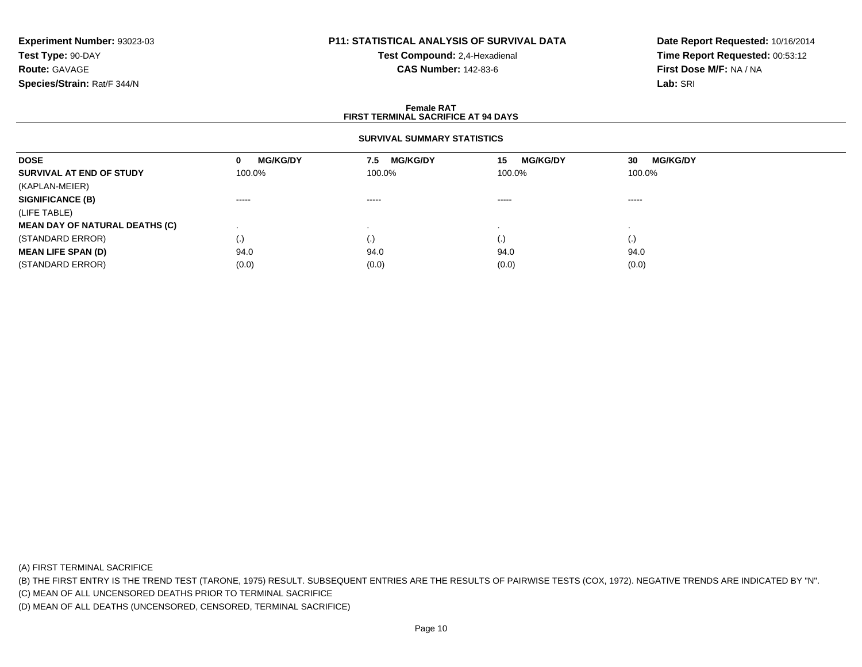## **P11: STATISTICAL ANALYSIS OF SURVIVAL DATA**

**Test Compound:** 2,4-Hexadienal **CAS Number:** 142-83-6

**Date Report Requested:** 10/16/2014**Time Report Requested:** 00:53:12**First Dose M/F:** NA / NA**Lab:** SRI

#### **Female RATFIRST TERMINAL SACRIFICE AT 94 DAYS**

### **SURVIVAL SUMMARY STATISTICS**

| <b>DOSE</b>                           | <b>MG/KG/DY</b><br>0   | <b>MG/KG/DY</b><br>7.5 | <b>MG/KG/DY</b><br>15 | <b>MG/KG/DY</b><br>30 |
|---------------------------------------|------------------------|------------------------|-----------------------|-----------------------|
| SURVIVAL AT END OF STUDY              | 100.0%                 | 100.0%                 | 100.0%                | 100.0%                |
| (KAPLAN-MEIER)                        |                        |                        |                       |                       |
| <b>SIGNIFICANCE (B)</b>               | $\cdots \cdots \cdots$ | -----                  | ------                | $\cdots$              |
| (LIFE TABLE)                          |                        |                        |                       |                       |
| <b>MEAN DAY OF NATURAL DEATHS (C)</b> |                        |                        |                       |                       |
| (STANDARD ERROR)                      | (.)                    | $\cdot$                | $\cdot$               | $\left( . \right)$    |
| <b>MEAN LIFE SPAN (D)</b>             | 94.0                   | 94.0                   | 94.0                  | 94.0                  |
| (STANDARD ERROR)                      | (0.0)                  | (0.0)                  | (0.0)                 | (0.0)                 |

(A) FIRST TERMINAL SACRIFICE

(B) THE FIRST ENTRY IS THE TREND TEST (TARONE, 1975) RESULT. SUBSEQUENT ENTRIES ARE THE RESULTS OF PAIRWISE TESTS (COX, 1972). NEGATIVE TRENDS ARE INDICATED BY "N".

(C) MEAN OF ALL UNCENSORED DEATHS PRIOR TO TERMINAL SACRIFICE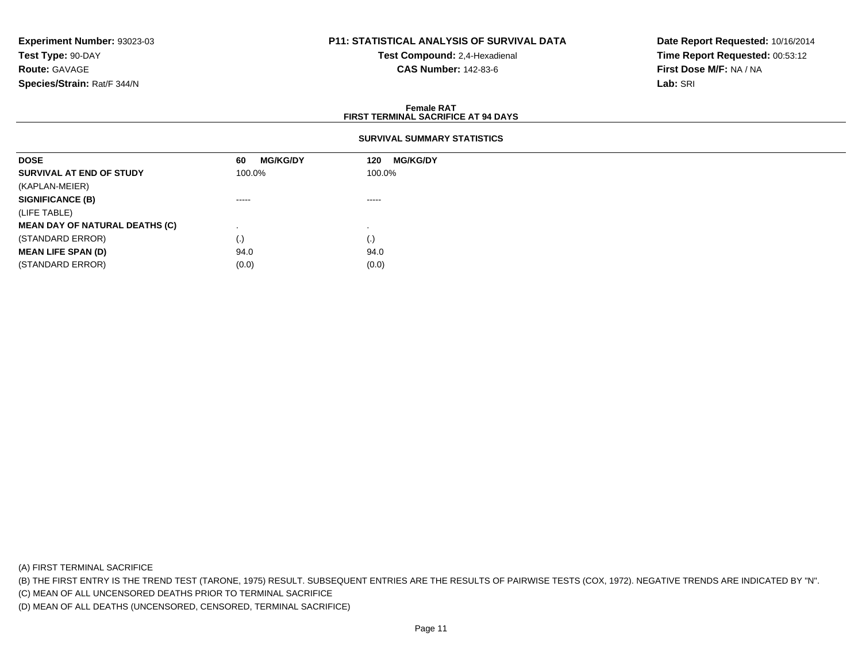### **P11: STATISTICAL ANALYSIS OF SURVIVAL DATA**

**Test Compound:** 2,4-Hexadienal **CAS Number:** 142-83-6

**Date Report Requested:** 10/16/2014**Time Report Requested:** 00:53:12**First Dose M/F:** NA / NA**Lab:** SRI

#### **Female RATFIRST TERMINAL SACRIFICE AT 94 DAYS**

### **SURVIVAL SUMMARY STATISTICS**

| <b>DOSE</b>                           | <b>MG/KG/DY</b><br>60 | <b>MG/KG/DY</b><br>120 |  |
|---------------------------------------|-----------------------|------------------------|--|
| SURVIVAL AT END OF STUDY              | 100.0%                | 100.0%                 |  |
| (KAPLAN-MEIER)                        |                       |                        |  |
| <b>SIGNIFICANCE (B)</b>               | $\cdots$              | -----                  |  |
| (LIFE TABLE)                          |                       |                        |  |
| <b>MEAN DAY OF NATURAL DEATHS (C)</b> |                       |                        |  |
| (STANDARD ERROR)                      | (.)                   | (.)                    |  |
| <b>MEAN LIFE SPAN (D)</b>             | 94.0                  | 94.0                   |  |
| (STANDARD ERROR)                      | (0.0)                 | (0.0)                  |  |
|                                       |                       |                        |  |

(A) FIRST TERMINAL SACRIFICE

(B) THE FIRST ENTRY IS THE TREND TEST (TARONE, 1975) RESULT. SUBSEQUENT ENTRIES ARE THE RESULTS OF PAIRWISE TESTS (COX, 1972). NEGATIVE TRENDS ARE INDICATED BY "N".

(C) MEAN OF ALL UNCENSORED DEATHS PRIOR TO TERMINAL SACRIFICE